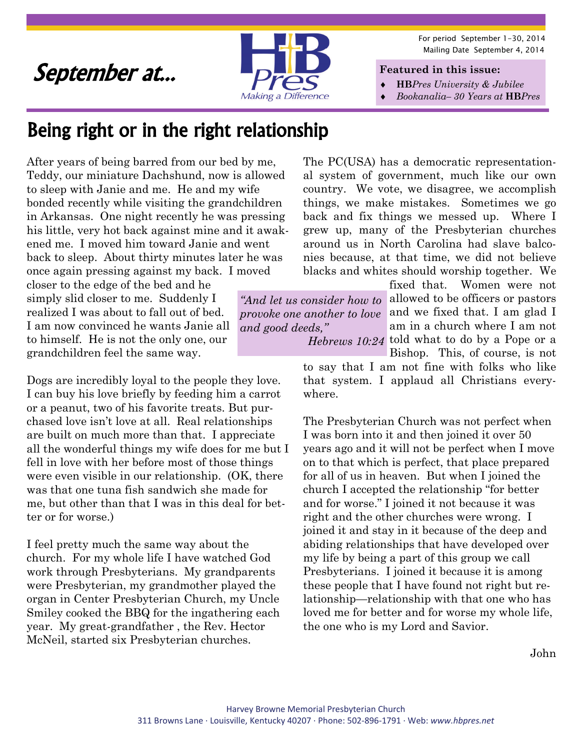For period September 1-30, 2014 Mailing Date September 4, 2014

### September at...



**Featured in this issue:** 

- **HB***Pres University & Jubilee*
- *Bookanalia– 30 Years at* **HB***Pres*

### Being right or in the right relationship

After years of being barred from our bed by me, Teddy, our miniature Dachshund, now is allowed to sleep with Janie and me. He and my wife bonded recently while visiting the grandchildren in Arkansas. One night recently he was pressing his little, very hot back against mine and it awakened me. I moved him toward Janie and went back to sleep. About thirty minutes later he was once again pressing against my back. I moved

closer to the edge of the bed and he simply slid closer to me. Suddenly I realized I was about to fall out of bed. I am now convinced he wants Janie all to himself. He is not the only one, our grandchildren feel the same way.

Dogs are incredibly loyal to the people they love. I can buy his love briefly by feeding him a carrot or a peanut, two of his favorite treats. But purchased love isn't love at all. Real relationships are built on much more than that. I appreciate all the wonderful things my wife does for me but I fell in love with her before most of those things were even visible in our relationship. (OK, there was that one tuna fish sandwich she made for me, but other than that I was in this deal for better or for worse.)

I feel pretty much the same way about the church. For my whole life I have watched God work through Presbyterians. My grandparents were Presbyterian, my grandmother played the organ in Center Presbyterian Church, my Uncle Smiley cooked the BBQ for the ingathering each year. My great-grandfather , the Rev. Hector McNeil, started six Presbyterian churches.

The PC(USA) has a democratic representational system of government, much like our own country. We vote, we disagree, we accomplish things, we make mistakes. Sometimes we go back and fix things we messed up. Where I grew up, many of the Presbyterian churches around us in North Carolina had slave balconies because, at that time, we did not believe blacks and whites should worship together. We

*and good deeds,"* 

fixed that. Women were not "And let us consider how to allowed to be officers or pastors" provoke one another to love and we fixed that. I am glad I am in a church where I am not Hebrews 10:24 told what to do by a Pope or a

Bishop. This, of course, is not to say that I am not fine with folks who like that system. I applaud all Christians everywhere.

The Presbyterian Church was not perfect when I was born into it and then joined it over 50 years ago and it will not be perfect when I move on to that which is perfect, that place prepared for all of us in heaven. But when I joined the church I accepted the relationship "for better and for worse." I joined it not because it was right and the other churches were wrong. I joined it and stay in it because of the deep and abiding relationships that have developed over my life by being a part of this group we call Presbyterians. I joined it because it is among these people that I have found not right but relationship—relationship with that one who has loved me for better and for worse my whole life, the one who is my Lord and Savior.

John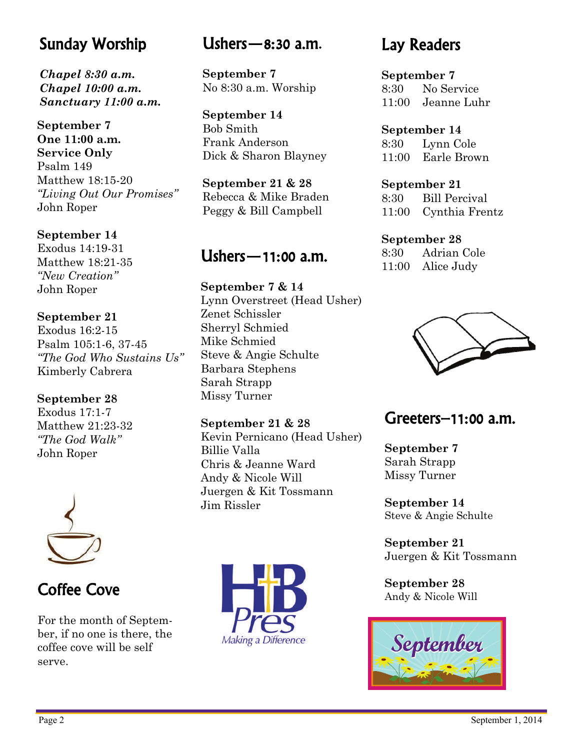### Sunday Worship

*Chapel 8:30 a.m. Chapel 10:00 a.m. Sanctuary 11:00 a.m.* 

**September 7 One 11:00 a.m. Service Only**  Psalm 149 Matthew 18:15-20 *"Living Out Our Promises"*  John Roper

**September 14**  Exodus 14:19-31 Matthew 18:21-35 *"New Creation"*  John Roper

#### **September 21**  Exodus 16:2-15 Psalm 105:1-6, 37-45 *"The God Who Sustains Us"*  Kimberly Cabrera

**September 28** 

Exodus 17:1-7 Matthew 21:23-32 *"The God Walk"*  John Roper



For the month of September, if no one is there, the coffee cove will be self serve.

### Ushers—8:30 a.m.

**September 7**  No 8:30 a.m. Worship

**September 14**  Bob Smith Frank Anderson Dick & Sharon Blayney

**September 21 & 28**  Rebecca & Mike Braden Peggy & Bill Campbell

### Ushers—11:00 a.m.

**September 7 & 14**  Lynn Overstreet (Head Usher) Zenet Schissler Sherryl Schmied Mike Schmied Steve & Angie Schulte Barbara Stephens Sarah Strapp Missy Turner

**September 21 & 28**  Kevin Pernicano (Head Usher) Billie Valla Chris & Jeanne Ward Andy & Nicole Will Juergen & Kit Tossmann Jim Rissler



### Lay Readers

**September 7**  8:30 No Service 11:00 Jeanne Luhr

**September 14**  8:30 Lynn Cole 11:00 Earle Brown

**September 21**  8:30 Bill Percival 11:00 Cynthia Frentz

#### **September 28**

8:30 Adrian Cole 11:00 Alice Judy



### Greeters–11:00 a.m.

**September 7**  Sarah Strapp Missy Turner

**September 14**  Steve & Angie Schulte

**September 21**  Juergen & Kit Tossmann

**September 28** 

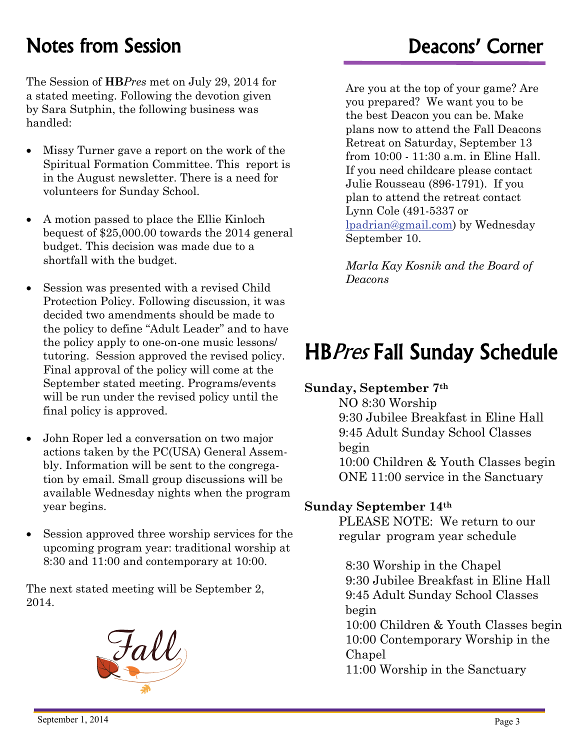### Notes from Session **Notes** from Session **Deacons'** Corner

The Session of **HB***Pres* met on July 29, 2014 for a stated meeting. Following the devotion given by Sara Sutphin, the following business was handled:

- Missy Turner gave a report on the work of the Spiritual Formation Committee. This report is in the August newsletter. There is a need for volunteers for Sunday School.
- A motion passed to place the Ellie Kinloch bequest of \$25,000.00 towards the 2014 general budget. This decision was made due to a shortfall with the budget.
- Session was presented with a revised Child Protection Policy. Following discussion, it was decided two amendments should be made to the policy to define "Adult Leader" and to have the policy apply to one-on-one music lessons/ tutoring. Session approved the revised policy. Final approval of the policy will come at the September stated meeting. Programs/events will be run under the revised policy until the final policy is approved.
- John Roper led a conversation on two major actions taken by the PC(USA) General Assembly. Information will be sent to the congregation by email. Small group discussions will be available Wednesday nights when the program year begins.
- Session approved three worship services for the upcoming program year: traditional worship at 8:30 and 11:00 and contemporary at 10:00.

The next stated meeting will be September 2, 2014.



Are you at the top of your game? Are you prepared? We want you to be the best Deacon you can be. Make plans now to attend the Fall Deacons Retreat on Saturday, September 13 from 10:00 - 11:30 a.m. in Eline Hall. If you need childcare please contact Julie Rousseau (896-1791). If you plan to attend the retreat contact Lynn Cole (491-5337 or [lpadrian@gmail.com\)](mailto:lpadrian@gmail.com) by Wednesday September 10.

*Marla Kay Kosnik and the Board of Deacons* 

## HBPres Fall Sunday Schedule

#### **Sunday, September 7th**

NO 8:30 Worship 9:30 Jubilee Breakfast in Eline Hall 9:45 Adult Sunday School Classes begin 10:00 Children & Youth Classes begin ONE 11:00 service in the Sanctuary

#### **Sunday September 14th**

PLEASE NOTE: We return to our regular program year schedule

 8:30 Worship in the Chapel 9:30 Jubilee Breakfast in Eline Hall 9:45 Adult Sunday School Classes begin 10:00 Children & Youth Classes begin

 10:00 Contemporary Worship in the Chapel

11:00 Worship in the Sanctuary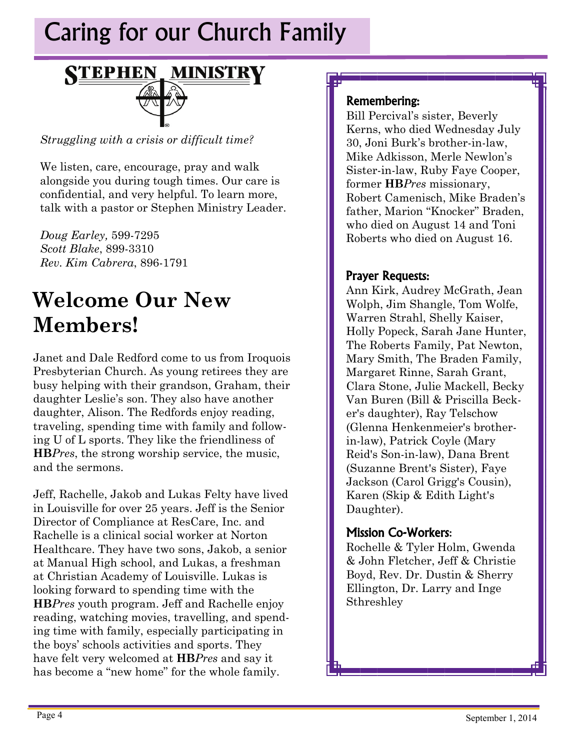# Caring for our Church Family



*Struggling with a crisis or difficult time?* 

We listen, care, encourage, pray and walk alongside you during tough times. Our care is confidential, and very helpful. To learn more, talk with a pastor or Stephen Ministry Leader.

*Doug Earley,* 599-7295 *Scott Blake*, 899-3310 *Rev. Kim Cabrera*, 896-1791

## **Welcome Our New Members!**

Janet and Dale Redford come to us from Iroquois Presbyterian Church. As young retirees they are busy helping with their grandson, Graham, their daughter Leslie's son. They also have another daughter, Alison. The Redfords enjoy reading, traveling, spending time with family and following U of L sports. They like the friendliness of **HB***Pres*, the strong worship service, the music, and the sermons.

Jeff, Rachelle, Jakob and Lukas Felty have lived in Louisville for over 25 years. Jeff is the Senior Director of Compliance at ResCare, Inc. and Rachelle is a clinical social worker at Norton Healthcare. They have two sons, Jakob, a senior at Manual High school, and Lukas, a freshman at Christian Academy of Louisville. Lukas is looking forward to spending time with the **HB***Pres* youth program. Jeff and Rachelle enjoy reading, watching movies, travelling, and spending time with family, especially participating in the boys' schools activities and sports. They have felt very welcomed at **HB***Pres* and say it has become a "new home" for the whole family.

#### Remembering:

Bill Percival's sister, Beverly Kerns, who died Wednesday July 30, Joni Burk's brother-in-law, Mike Adkisson, Merle Newlon's Sister-in-law, Ruby Faye Cooper, former **HB***Pres* missionary, Robert Camenisch, Mike Braden's father, Marion "Knocker" Braden, who died on August 14 and Toni Roberts who died on August 16.

#### Prayer Requests:

Ann Kirk, Audrey McGrath, Jean Wolph, Jim Shangle, Tom Wolfe, Warren Strahl, Shelly Kaiser, Holly Popeck, Sarah Jane Hunter, The Roberts Family, Pat Newton, Mary Smith, The Braden Family, Margaret Rinne, Sarah Grant, Clara Stone, Julie Mackell, Becky Van Buren (Bill & Priscilla Becker's daughter), Ray Telschow (Glenna Henkenmeier's brotherin-law), Patrick Coyle (Mary Reid's Son-in-law), Dana Brent (Suzanne Brent's Sister), Faye Jackson (Carol Grigg's Cousin), Karen (Skip & Edith Light's Daughter).

#### Mission Co-Workers:

Rochelle & Tyler Holm, Gwenda & John Fletcher, Jeff & Christie Boyd, Rev. Dr. Dustin & Sherry Ellington, Dr. Larry and Inge Sthreshley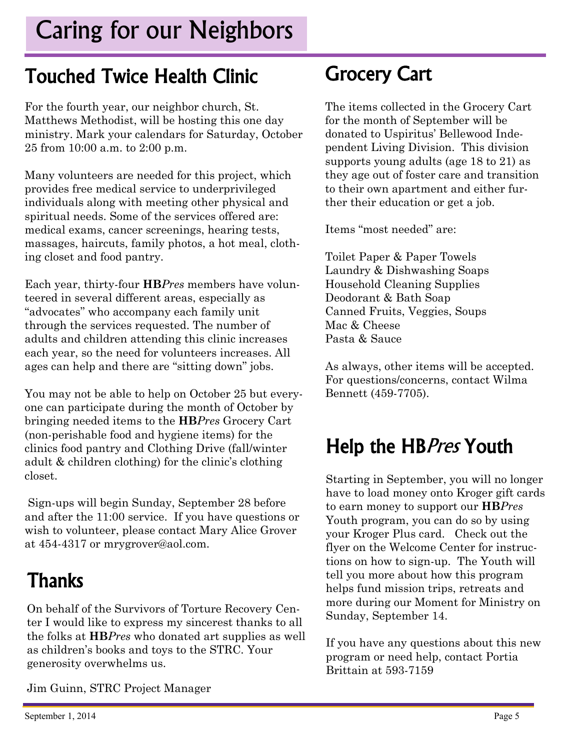# Caring for our Neighbors

## Touched Twice Health Clinic

For the fourth year, our neighbor church, St. Matthews Methodist, will be hosting this one day ministry. Mark your calendars for Saturday, October 25 from 10:00 a.m. to 2:00 p.m.

Many volunteers are needed for this project, which provides free medical service to underprivileged individuals along with meeting other physical and spiritual needs. Some of the services offered are: medical exams, cancer screenings, hearing tests, massages, haircuts, family photos, a hot meal, clothing closet and food pantry.

Each year, thirty-four **HB***Pres* members have volunteered in several different areas, especially as "advocates" who accompany each family unit through the services requested. The number of adults and children attending this clinic increases each year, so the need for volunteers increases. All ages can help and there are "sitting down" jobs.

You may not be able to help on October 25 but everyone can participate during the month of October by bringing needed items to the **HB***Pres* Grocery Cart (non-perishable food and hygiene items) for the clinics food pantry and Clothing Drive (fall/winter adult & children clothing) for the clinic's clothing closet.

 Sign-ups will begin Sunday, September 28 before and after the 11:00 service. If you have questions or wish to volunteer, please contact Mary Alice Grover at 454-4317 or mrygrover@aol.com.

# **Thanks**

On behalf of the Survivors of Torture Recovery Center I would like to express my sincerest thanks to all the folks at **HB***Pres* who donated art supplies as well as children's books and toys to the STRC. Your generosity overwhelms us.

Jim Guinn, STRC Project Manager

## Grocery Cart

The items collected in the Grocery Cart for the month of September will be donated to Uspiritus' Bellewood Independent Living Division. This division supports young adults (age 18 to 21) as they age out of foster care and transition to their own apartment and either further their education or get a job.

Items "most needed" are:

Toilet Paper & Paper Towels Laundry & Dishwashing Soaps Household Cleaning Supplies Deodorant & Bath Soap Canned Fruits, Veggies, Soups Mac & Cheese Pasta & Sauce

As always, other items will be accepted. For questions/concerns, contact Wilma Bennett (459-7705).

# Help the HBPres Youth

Starting in September, you will no longer have to load money onto Kroger gift cards to earn money to support our **HB***Pres*  Youth program, you can do so by using your Kroger Plus card. Check out the flyer on the Welcome Center for instructions on how to sign-up. The Youth will tell you more about how this program helps fund mission trips, retreats and more during our Moment for Ministry on Sunday, September 14.

If you have any questions about this new program or need help, contact Portia Brittain at 593-7159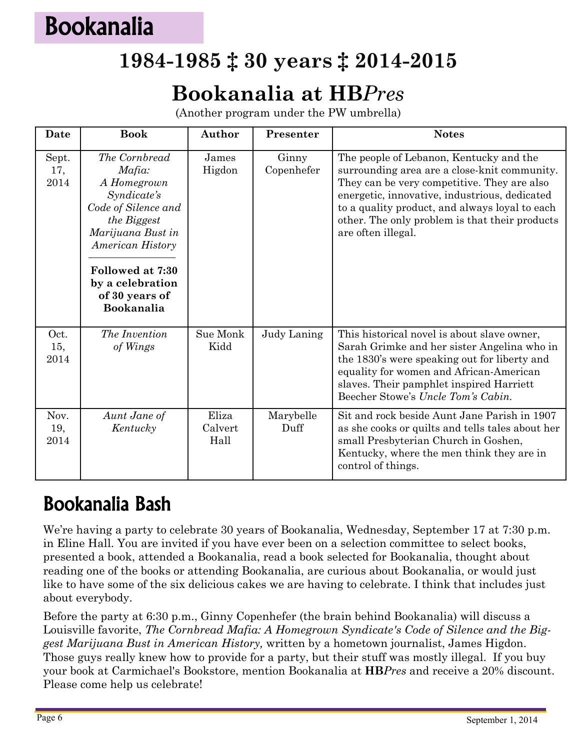# Bookanalia

### **1984-1985 ‡ 30 years ‡ 2014-2015**

### **Bookanalia at HB***Pres*

(Another program under the PW umbrella)

| Date                 | <b>Book</b>                                                                                                                          | Author                   | Presenter           | <b>Notes</b>                                                                                                                                                                                                                                                                                                      |
|----------------------|--------------------------------------------------------------------------------------------------------------------------------------|--------------------------|---------------------|-------------------------------------------------------------------------------------------------------------------------------------------------------------------------------------------------------------------------------------------------------------------------------------------------------------------|
| Sept.<br>17,<br>2014 | The Cornbread<br>Mafia:<br>A Homegrown<br>Syndicate's<br>Code of Silence and<br>the Biggest<br>Marijuana Bust in<br>American History | James<br>Higdon          | Ginny<br>Copenhefer | The people of Lebanon, Kentucky and the<br>surrounding area are a close-knit community.<br>They can be very competitive. They are also<br>energetic, innovative, industrious, dedicated<br>to a quality product, and always loyal to each<br>other. The only problem is that their products<br>are often illegal. |
|                      | Followed at 7:30<br>by a celebration<br>of 30 years of<br>Bookanalia                                                                 |                          |                     |                                                                                                                                                                                                                                                                                                                   |
| Oct.<br>15,<br>2014  | The Invention<br>of Wings                                                                                                            | Sue Monk<br>Kidd         | Judy Laning         | This historical novel is about slave owner,<br>Sarah Grimke and her sister Angelina who in<br>the 1830's were speaking out for liberty and<br>equality for women and African-American<br>slaves. Their pamphlet inspired Harriett<br>Beecher Stowe's Uncle Tom's Cabin.                                           |
| Nov.<br>19,<br>2014  | Aunt Jane of<br>Kentucky                                                                                                             | Eliza<br>Calvert<br>Hall | Marybelle<br>Duff   | Sit and rock beside Aunt Jane Parish in 1907<br>as she cooks or quilts and tells tales about her<br>small Presbyterian Church in Goshen,<br>Kentucky, where the men think they are in<br>control of things.                                                                                                       |

### Bookanalia Bash

We're having a party to celebrate 30 years of Bookanalia, Wednesday, September 17 at 7:30 p.m. in Eline Hall. You are invited if you have ever been on a selection committee to select books, presented a book, attended a Bookanalia, read a book selected for Bookanalia, thought about reading one of the books or attending Bookanalia, are curious about Bookanalia, or would just like to have some of the six delicious cakes we are having to celebrate. I think that includes just about everybody.

Before the party at 6:30 p.m., Ginny Copenhefer (the brain behind Bookanalia) will discuss a Louisville favorite, *The Cornbread Mafia: A Homegrown Syndicate's Code of Silence and the Biggest Marijuana Bust in American History,* written by a hometown journalist, James Higdon. Those guys really knew how to provide for a party, but their stuff was mostly illegal. If you buy your book at Carmichael's Bookstore, mention Bookanalia at **HB***Pres* and receive a 20% discount. Please come help us celebrate!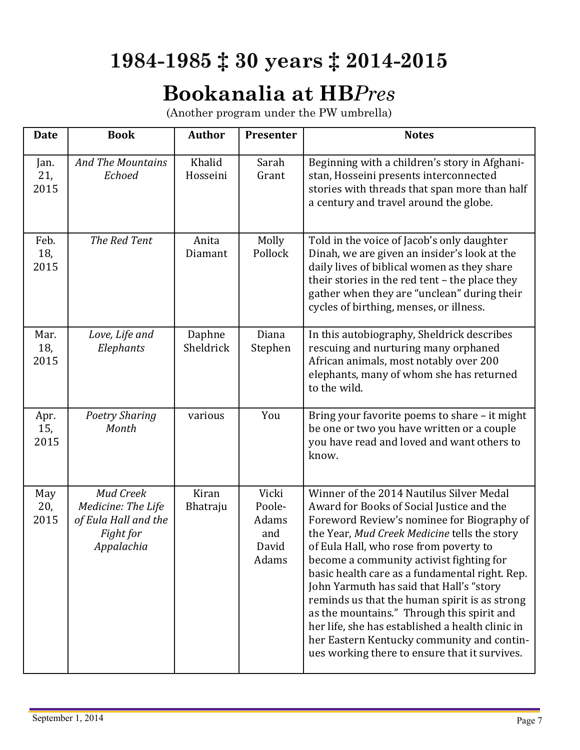## **1984-1985 ‡ 30 years ‡ 2014-2015**

### **Bookanalia at HB***Pres*

(Another program under the PW umbrella)

| <b>Date</b>         | <b>Book</b>                                                                               | <b>Author</b>       | Presenter                                         | <b>Notes</b>                                                                                                                                                                                                                                                                                                                                                                                                                                                                                                                                                                                                              |
|---------------------|-------------------------------------------------------------------------------------------|---------------------|---------------------------------------------------|---------------------------------------------------------------------------------------------------------------------------------------------------------------------------------------------------------------------------------------------------------------------------------------------------------------------------------------------------------------------------------------------------------------------------------------------------------------------------------------------------------------------------------------------------------------------------------------------------------------------------|
| Jan.<br>21,<br>2015 | <b>And The Mountains</b><br>Echoed                                                        | Khalid<br>Hosseini  | Sarah<br>Grant                                    | Beginning with a children's story in Afghani-<br>stan, Hosseini presents interconnected<br>stories with threads that span more than half<br>a century and travel around the globe.                                                                                                                                                                                                                                                                                                                                                                                                                                        |
| Feb.<br>18,<br>2015 | The Red Tent                                                                              | Anita<br>Diamant    | Molly<br>Pollock                                  | Told in the voice of Jacob's only daughter<br>Dinah, we are given an insider's look at the<br>daily lives of biblical women as they share<br>their stories in the red tent - the place they<br>gather when they are "unclean" during their<br>cycles of birthing, menses, or illness.                                                                                                                                                                                                                                                                                                                                     |
| Mar.<br>18,<br>2015 | Love, Life and<br>Elephants                                                               | Daphne<br>Sheldrick | Diana<br>Stephen                                  | In this autobiography, Sheldrick describes<br>rescuing and nurturing many orphaned<br>African animals, most notably over 200<br>elephants, many of whom she has returned<br>to the wild.                                                                                                                                                                                                                                                                                                                                                                                                                                  |
| Apr.<br>15,<br>2015 | <b>Poetry Sharing</b><br>Month                                                            | various             | You                                               | Bring your favorite poems to share - it might<br>be one or two you have written or a couple<br>you have read and loved and want others to<br>know.                                                                                                                                                                                                                                                                                                                                                                                                                                                                        |
| May<br>20,<br>2015  | <b>Mud Creek</b><br>Medicine: The Life<br>of Eula Hall and the<br>Fight for<br>Appalachia | Kiran<br>Bhatraju   | Vicki<br>Poole-<br>Adams<br>and<br>David<br>Adams | Winner of the 2014 Nautilus Silver Medal<br>Award for Books of Social Justice and the<br>Foreword Review's nominee for Biography of<br>the Year, Mud Creek Medicine tells the story<br>of Eula Hall, who rose from poverty to<br>become a community activist fighting for<br>basic health care as a fundamental right. Rep.<br>John Yarmuth has said that Hall's "story<br>reminds us that the human spirit is as strong<br>as the mountains." Through this spirit and<br>her life, she has established a health clinic in<br>her Eastern Kentucky community and contin-<br>ues working there to ensure that it survives. |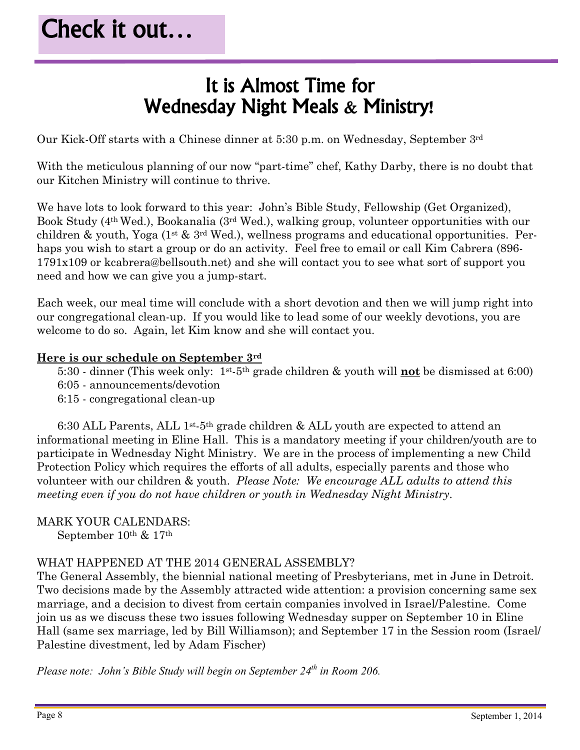### It is Almost Time for Wednesday Night Meals & Ministry!

Our Kick-Off starts with a Chinese dinner at 5:30 p.m. on Wednesday, September 3rd

With the meticulous planning of our now "part-time" chef, Kathy Darby, there is no doubt that our Kitchen Ministry will continue to thrive.

We have lots to look forward to this year: John's Bible Study, Fellowship (Get Organized), Book Study (4th Wed.), Bookanalia (3rd Wed.), walking group, volunteer opportunities with our children & youth, Yoga (1<sup>st</sup> & 3<sup>rd</sup> Wed.), wellness programs and educational opportunities. Perhaps you wish to start a group or do an activity. Feel free to email or call Kim Cabrera (896- 1791x109 or kcabrera@bellsouth.net) and she will contact you to see what sort of support you need and how we can give you a jump-start.

Each week, our meal time will conclude with a short devotion and then we will jump right into our congregational clean-up. If you would like to lead some of our weekly devotions, you are welcome to do so. Again, let Kim know and she will contact you.

#### **Here is our schedule on September 3rd**

- 5:30 dinner (This week only: 1st-5th grade children & youth will **not** be dismissed at 6:00)
- 6:05 announcements/devotion
- 6:15 congregational clean-up

 6:30 ALL Parents, ALL 1st-5th grade children & ALL youth are expected to attend an informational meeting in Eline Hall. This is a mandatory meeting if your children/youth are to participate in Wednesday Night Ministry. We are in the process of implementing a new Child Protection Policy which requires the efforts of all adults, especially parents and those who volunteer with our children & youth. *Please Note: We encourage ALL adults to attend this meeting even if you do not have children or youth in Wednesday Night Ministry*.

#### MARK YOUR CALENDARS:

September 10th & 17th

#### WHAT HAPPENED AT THE 2014 GENERAL ASSEMBLY?

The General Assembly, the biennial national meeting of Presbyterians, met in June in Detroit. Two decisions made by the Assembly attracted wide attention: a provision concerning same sex marriage, and a decision to divest from certain companies involved in Israel/Palestine. Come join us as we discuss these two issues following Wednesday supper on September 10 in Eline Hall (same sex marriage, led by Bill Williamson); and September 17 in the Session room (Israel/ Palestine divestment, led by Adam Fischer)

*Please note: John's Bible Study will begin on September 24th in Room 206.*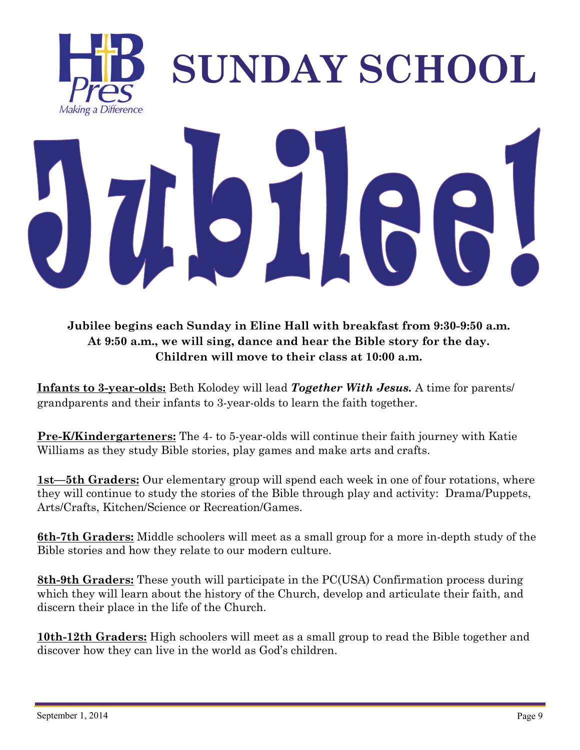

**Jubilee begins each Sunday in Eline Hall with breakfast from 9:30-9:50 a.m. At 9:50 a.m., we will sing, dance and hear the Bible story for the day. Children will move to their class at 10:00 a.m.** 

**Infants to 3-year-olds:** Beth Kolodey will lead *Together With Jesus.* A time for parents/ grandparents and their infants to 3-year-olds to learn the faith together.

**Pre-K/Kindergarteners:** The 4- to 5-year-olds will continue their faith journey with Katie Williams as they study Bible stories, play games and make arts and crafts.

**1st—5th Graders:** Our elementary group will spend each week in one of four rotations, where they will continue to study the stories of the Bible through play and activity: Drama/Puppets, Arts/Crafts, Kitchen/Science or Recreation/Games.

**6th-7th Graders:** Middle schoolers will meet as a small group for a more in-depth study of the Bible stories and how they relate to our modern culture.

**8th-9th Graders:** These youth will participate in the PC(USA) Confirmation process during which they will learn about the history of the Church, develop and articulate their faith, and discern their place in the life of the Church.

**10th-12th Graders:** High schoolers will meet as a small group to read the Bible together and discover how they can live in the world as God's children.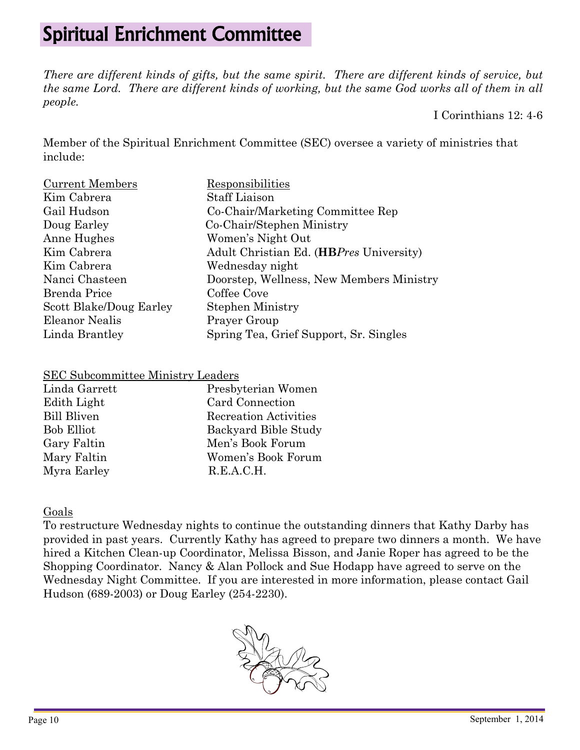### Spiritual Enrichment Committee

*There are different kinds of gifts, but the same spirit. There are different kinds of service, but the same Lord. There are different kinds of working, but the same God works all of them in all people.* 

I Corinthians 12: 4-6

Member of the Spiritual Enrichment Committee (SEC) oversee a variety of ministries that include:

| <b>Current Members</b>  | Responsibilities                         |
|-------------------------|------------------------------------------|
| Kim Cabrera             | <b>Staff Liaison</b>                     |
| Gail Hudson             | Co-Chair/Marketing Committee Rep         |
| Doug Earley             | Co-Chair/Stephen Ministry                |
| Anne Hughes             | Women's Night Out                        |
| Kim Cabrera             | Adult Christian Ed. (HBPres University)  |
| Kim Cabrera             | Wednesday night                          |
| Nanci Chasteen          | Doorstep, Wellness, New Members Ministry |
| Brenda Price            | Coffee Cove                              |
| Scott Blake/Doug Earley | <b>Stephen Ministry</b>                  |
| Eleanor Nealis          | Prayer Group                             |
| Linda Brantley          | Spring Tea, Grief Support, Sr. Singles   |

#### SEC Subcommittee Ministry Leaders

| Linda Garrett      | Presbyterian Women           |
|--------------------|------------------------------|
| Edith Light        | Card Connection              |
| <b>Bill Bliven</b> | <b>Recreation Activities</b> |
| <b>Bob Elliot</b>  | Backyard Bible Study         |
| Gary Faltin        | Men's Book Forum             |
| Mary Faltin        | Women's Book Forum           |
| Myra Earley        | R.E.A.C.H.                   |

#### Goals

To restructure Wednesday nights to continue the outstanding dinners that Kathy Darby has provided in past years. Currently Kathy has agreed to prepare two dinners a month. We have hired a Kitchen Clean-up Coordinator, Melissa Bisson, and Janie Roper has agreed to be the Shopping Coordinator. Nancy & Alan Pollock and Sue Hodapp have agreed to serve on the Wednesday Night Committee. If you are interested in more information, please contact Gail Hudson (689-2003) or Doug Earley (254-2230).

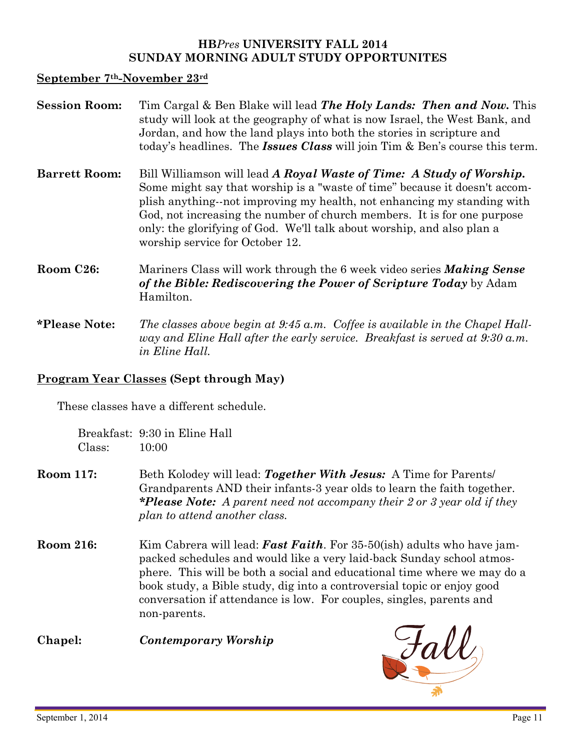#### **HB***Pres* **UNIVERSITY FALL 2014 SUNDAY MORNING ADULT STUDY OPPORTUNITES**

#### **September 7th-November 23rd**

| <b>Session Room:</b>   | Tim Cargal & Ben Blake will lead The Holy Lands: Then and Now. This<br>study will look at the geography of what is now Israel, the West Bank, and<br>Jordan, and how the land plays into both the stories in scripture and<br>today's headlines. The <b>Issues Class</b> will join Tim & Ben's course this term.                                                                                                      |
|------------------------|-----------------------------------------------------------------------------------------------------------------------------------------------------------------------------------------------------------------------------------------------------------------------------------------------------------------------------------------------------------------------------------------------------------------------|
| <b>Barrett Room:</b>   | Bill Williamson will lead A Royal Waste of Time: A Study of Worship.<br>Some might say that worship is a "waste of time" because it doesn't accom-<br>plish anything--not improving my health, not enhancing my standing with<br>God, not increasing the number of church members. It is for one purpose<br>only: the glorifying of God. We'll talk about worship, and also plan a<br>worship service for October 12. |
| Room C <sub>26</sub> : | Mariners Class will work through the 6 week video series <b>Making Sense</b><br>of the Bible: Rediscovering the Power of Scripture Today by Adam<br>Hamilton.                                                                                                                                                                                                                                                         |
| <i>*Please Note:</i>   | The classes above begin at $9.45 a.m.$ Coffee is available in the Chapel Hall-<br>way and Eline Hall after the early service. Breakfast is served at 9:30 a.m.<br><i>in Eline Hall.</i>                                                                                                                                                                                                                               |

#### **Program Year Classes (Sept through May)**

These classes have a different schedule.

 Breakfast: 9:30 in Eline Hall Class: 10:00

- **Room 117:** Beth Kolodey will lead: *Together With Jesus:* A Time for Parents/ Grandparents AND their infants-3 year olds to learn the faith together. *\*Please Note: A parent need not accompany their 2 or 3 year old if they plan to attend another class.*
- **Room 216:** Kim Cabrera will lead: *Fast Faith*. For 35-50(ish) adults who have jampacked schedules and would like a very laid-back Sunday school atmosphere. This will be both a social and educational time where we may do a book study, a Bible study, dig into a controversial topic or enjoy good conversation if attendance is low. For couples, singles, parents and non-parents.

**Chapel:** *Contemporary Worship* 

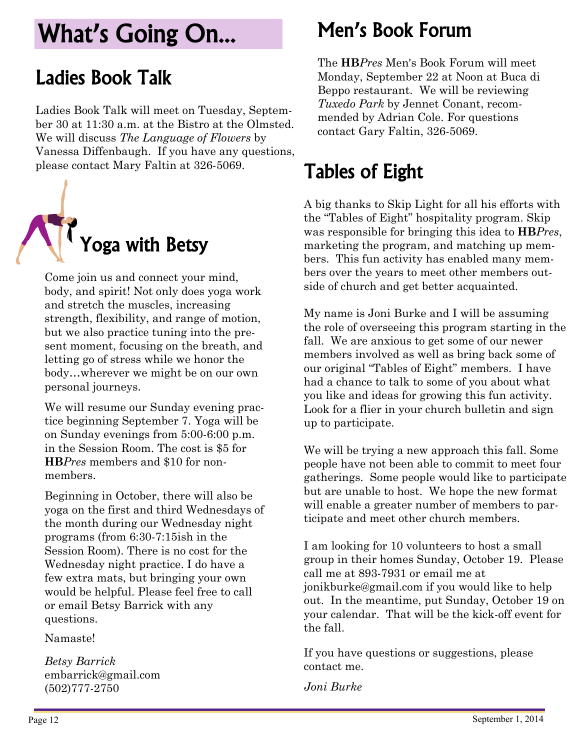# What's Going On...

### Ladies Book Talk

Ladies Book Talk will meet on Tuesday, September 30 at 11:30 a.m. at the Bistro at the Olmsted. We will discuss *The Language of Flowers* by Vanessa Diffenbaugh. If you have any questions, please contact Mary Faltin at 326-5069.



Come join us and connect your mind, body, and spirit! Not only does yoga work and stretch the muscles, increasing strength, flexibility, and range of motion, but we also practice tuning into the present moment, focusing on the breath, and letting go of stress while we honor the body…wherever we might be on our own personal journeys.

We will resume our Sunday evening practice beginning September 7. Yoga will be on Sunday evenings from 5:00-6:00 p.m. in the Session Room. The cost is \$5 for **HB***Pres* members and \$10 for nonmembers.

Beginning in October, there will also be yoga on the first and third Wednesdays of the month during our Wednesday night programs (from 6:30-7:15ish in the Session Room). There is no cost for the Wednesday night practice. I do have a few extra mats, but bringing your own would be helpful. Please feel free to call or email Betsy Barrick with any questions.

Namaste!

*Betsy Barrick*  embarrick@gmail.com (502)777-2750

### Men's Book Forum

The **HB***Pres* Men's Book Forum will meet Monday, September 22 at Noon at Buca di Beppo restaurant. We will be reviewing *Tuxedo Park* by Jennet Conant, recommended by Adrian Cole. For questions contact Gary Faltin, 326-5069.

## Tables of Eight

A big thanks to Skip Light for all his efforts with the "Tables of Eight" hospitality program. Skip was responsible for bringing this idea to **HB***Pres*, marketing the program, and matching up members. This fun activity has enabled many members over the years to meet other members outside of church and get better acquainted.

My name is Joni Burke and I will be assuming the role of overseeing this program starting in the fall. We are anxious to get some of our newer members involved as well as bring back some of our original "Tables of Eight" members. I have had a chance to talk to some of you about what you like and ideas for growing this fun activity. Look for a flier in your church bulletin and sign up to participate.

We will be trying a new approach this fall. Some people have not been able to commit to meet four gatherings. Some people would like to participate but are unable to host. We hope the new format will enable a greater number of members to participate and meet other church members.

I am looking for 10 volunteers to host a small group in their homes Sunday, October 19. Please call me at 893-7931 or email me at [jonikburke@gmail.com](mailto:jonikburke@gmail.com) if you would like to help out. In the meantime, put Sunday, October 19 on your calendar. That will be the kick-off event for the fall.

If you have questions or suggestions, please contact me.

*Joni Burke*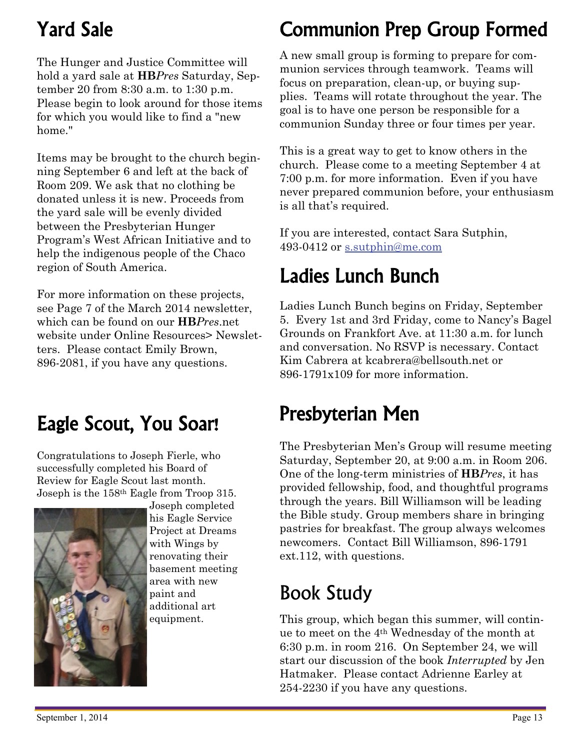## Yard Sale

The Hunger and Justice Committee will hold a yard sale at **HB***Pres* Saturday, September 20 from 8:30 a.m. to 1:30 p.m. Please begin to look around for those items for which you would like to find a "new home."

Items may be brought to the church beginning September 6 and left at the back of Room 209. We ask that no clothing be donated unless it is new. Proceeds from the yard sale will be evenly divided between the Presbyterian Hunger Program's West African Initiative and to help the indigenous people of the Chaco region of South America.

For more information on these projects, see Page 7 of the March 2014 newsletter, which can be found on our **HB***Pres*.net website under Online Resources> Newsletters. Please contact Emily Brown, 896-2081, if you have any questions.

### Eagle Scout, You Soar!

Congratulations to Joseph Fierle, who successfully completed his Board of Review for Eagle Scout last month. Joseph is the 158th Eagle from Troop 315.



Joseph completed his Eagle Service Project at Dreams with Wings by renovating their basement meeting area with new paint and additional art equipment.

### Communion Prep Group Formed

A new small group is forming to prepare for communion services through teamwork. Teams will focus on preparation, clean-up, or buying supplies. Teams will rotate throughout the year. The goal is to have one person be responsible for a communion Sunday three or four times per year.

This is a great way to get to know others in the church. Please come to a meeting September 4 at 7:00 p.m. for more information. Even if you have never prepared communion before, your enthusiasm is all that's required.

If you are interested, contact Sara Sutphin, 493-0412 or [s.sutphin@me.com](mailto:s.sutphin@me.com)

### Ladies Lunch Bunch

Ladies Lunch Bunch begins on Friday, September 5. Every 1st and 3rd Friday, come to Nancy's Bagel Grounds on Frankfort Ave. at 11:30 a.m. for lunch and conversation. No RSVP is necessary. Contact Kim Cabrera at kcabrera@bellsouth.net or 896-1791x109 for more information.

### Presbyterian Men

The Presbyterian Men's Group will resume meeting Saturday, September 20, at 9:00 a.m. in Room 206. One of the long-term ministries of **HB***Pres*, it has provided fellowship, food, and thoughtful programs through the years. Bill Williamson will be leading the Bible study. Group members share in bringing pastries for breakfast. The group always welcomes newcomers. Contact Bill Williamson, 896-1791 ext.112, with questions.

### Book Study

This group, which began this summer, will continue to meet on the 4th Wednesday of the month at 6:30 p.m. in room 216. On September 24, we will start our discussion of the book *Interrupted* by Jen Hatmaker. Please contact Adrienne Earley at 254-2230 if you have any questions.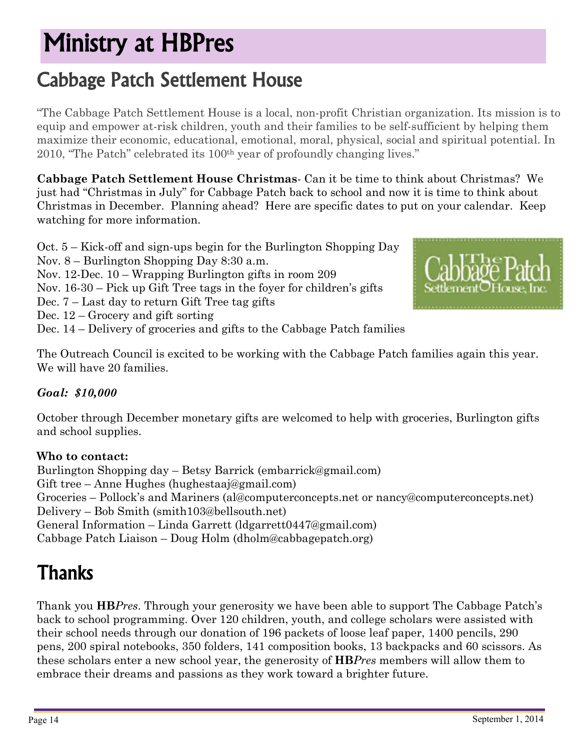# Ministry at HBPres

### Cabbage Patch Settlement House

"The Cabbage Patch Settlement House is a local, non-profit Christian organization. Its mission is to equip and empower at-risk children, youth and their families to be self-sufficient by helping them maximize their economic, educational, emotional, moral, physical, social and spiritual potential. In 2010, "The Patch" celebrated its 100th year of profoundly changing lives."

**Cabbage Patch Settlement House Christmas**- Can it be time to think about Christmas? We just had "Christmas in July" for Cabbage Patch back to school and now it is time to think about Christmas in December. Planning ahead? Here are specific dates to put on your calendar. Keep watching for more information.

Oct. 5 – Kick-off and sign-ups begin for the Burlington Shopping Day

- Nov. 8 Burlington Shopping Day 8:30 a.m.
- Nov. 12-Dec. 10 Wrapping Burlington gifts in room 209
- Nov. 16-30 Pick up Gift Tree tags in the foyer for children's gifts
- Dec. 7 Last day to return Gift Tree tag gifts
- Dec. 12 Grocery and gift sorting

Dec. 14 – Delivery of groceries and gifts to the Cabbage Patch families



The Outreach Council is excited to be working with the Cabbage Patch families again this year. We will have 20 families.

#### *Goal: \$10,000*

October through December monetary gifts are welcomed to help with groceries, Burlington gifts and school supplies.

#### **Who to contact:**

Burlington Shopping day – Betsy Barrick [\(embarrick@gmail.com\)](mailto:embarrick@gmail.com) Gift tree – Anne Hughes ([hughestaaj@gmail.com\)](mailto:hughestaaj@gmail.com) Groceries – Pollock's and Mariners ([al@computerconcepts.net](mailto:al@computerconcepts.net) or [nancy@computerconcepts.net](mailto:nancy@computerconcepts.net)) Delivery – Bob Smith ([smith103@bellsouth.net](mailto:smith103@bellsouth.net)) General Information – Linda Garrett ([ldgarrett0447@gmail.com\)](mailto:ldgarrett0447@gmail.com) Cabbage Patch Liaison – Doug Holm ([dholm@cabbagepatch.org](mailto:dholm@cabbagepatch.org))

### **Thanks**

Thank you **HB***Pres*. Through your generosity we have been able to support The Cabbage Patch's back to school programming. Over 120 children, youth, and college scholars were assisted with their school needs through our donation of 196 packets of loose leaf paper, 1400 pencils, 290 pens, 200 spiral notebooks, 350 folders, 141 composition books, 13 backpacks and 60 scissors. As these scholars enter a new school year, the generosity of **HB***Pres* members will allow them to embrace their dreams and passions as they work toward a brighter future.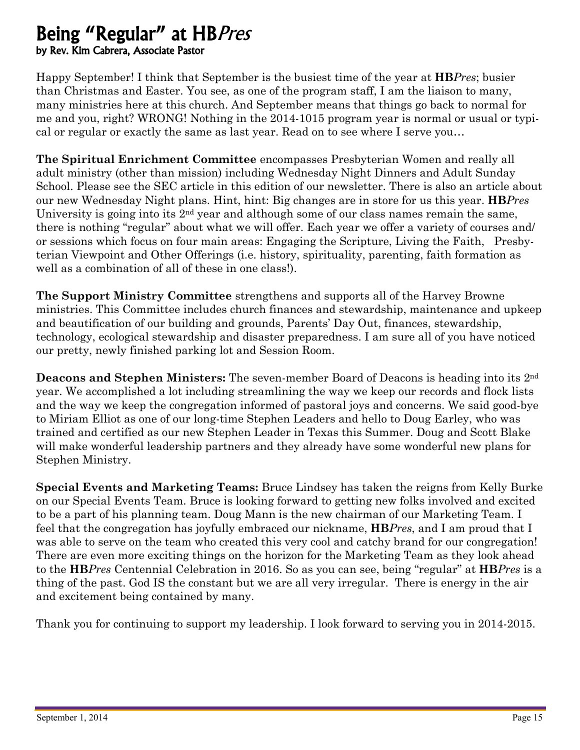#### Being "Regular" at HBPres by Rev. Kim Cabrera, Associate Pastor

Happy September! I think that September is the busiest time of the year at **HB***Pres*; busier than Christmas and Easter. You see, as one of the program staff, I am the liaison to many, many ministries here at this church. And September means that things go back to normal for me and you, right? WRONG! Nothing in the 2014-1015 program year is normal or usual or typical or regular or exactly the same as last year. Read on to see where I serve you…

**The Spiritual Enrichment Committee** encompasses Presbyterian Women and really all adult ministry (other than mission) including Wednesday Night Dinners and Adult Sunday School. Please see the SEC article in this edition of our newsletter. There is also an article about our new Wednesday Night plans. Hint, hint: Big changes are in store for us this year. **HB***Pres*  University is going into its 2<sup>nd</sup> year and although some of our class names remain the same, there is nothing "regular" about what we will offer. Each year we offer a variety of courses and/ or sessions which focus on four main areas: Engaging the Scripture, Living the Faith, Presbyterian Viewpoint and Other Offerings (i.e. history, spirituality, parenting, faith formation as well as a combination of all of these in one class!).

**The Support Ministry Committee** strengthens and supports all of the Harvey Browne ministries. This Committee includes church finances and stewardship, maintenance and upkeep and beautification of our building and grounds, Parents' Day Out, finances, stewardship, technology, ecological stewardship and disaster preparedness. I am sure all of you have noticed our pretty, newly finished parking lot and Session Room.

**Deacons and Stephen Ministers:** The seven-member Board of Deacons is heading into its 2nd year. We accomplished a lot including streamlining the way we keep our records and flock lists and the way we keep the congregation informed of pastoral joys and concerns. We said good-bye to Miriam Elliot as one of our long-time Stephen Leaders and hello to Doug Earley, who was trained and certified as our new Stephen Leader in Texas this Summer. Doug and Scott Blake will make wonderful leadership partners and they already have some wonderful new plans for Stephen Ministry.

**Special Events and Marketing Teams:** Bruce Lindsey has taken the reigns from Kelly Burke on our Special Events Team. Bruce is looking forward to getting new folks involved and excited to be a part of his planning team. Doug Mann is the new chairman of our Marketing Team. I feel that the congregation has joyfully embraced our nickname, **HB***Pres*, and I am proud that I was able to serve on the team who created this very cool and catchy brand for our congregation! There are even more exciting things on the horizon for the Marketing Team as they look ahead to the **HB***Pres* Centennial Celebration in 2016. So as you can see, being "regular" at **HB***Pres* is a thing of the past. God IS the constant but we are all very irregular. There is energy in the air and excitement being contained by many.

Thank you for continuing to support my leadership. I look forward to serving you in 2014-2015.